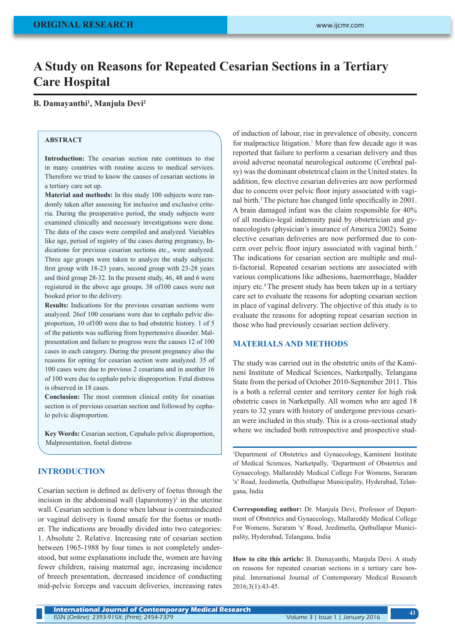# **A Study on Reasons for Repeated Cesarian Sections in a Tertiary Care Hospital**

### **B. Damayanthi1 , Manjula Devi2**

# **ABSTRACT**

**Introduction:** The cesarian section rate continues to rise in many countries with routine access to medical services. Therefore we tried to know the causes of cesarian sections in a tertiary care set up.

**Material and methods:** In this study 100 subjects were randomly taken after assessing for inclusive and exclusive criteria. During the preoperative period, the study subjects were examined clinically and necessary investigations were done. The data of the cases were compiled and analyzed. Variables like age, period of registry of the cases during pregnancy, Indications for previous cesarian sections etc., were analyzed. Three age groups were taken to analyze the study subjects: first group with 18-23 years, second group with 23-28 years and third group 28-32. In the present study, 46, 48 and 6 were registered in the above age groups. 38 of100 cases were not booked prior to the delivery.

**Results:** Indications for the previous cesarian sections were analyzed. 26of 100 cesarians were due to cephalo pelvic disproportion, 10 of100 were due to bad obstetric history. 1 of 5 of the patients was suffering from hypertensive disorder. Malpresentation and failure to progress were the causes 12 of 100 cases in each category. During the present pregnancy also the reasons for opting for cesarian section were analyzed. 35 of 100 cases were due to previous 2 cesarians and in another 16 of 100 were due to cephalo pelvic disproportion. Fetal distress is observed in 18 cases.

**Conclusion:** The most common clinical entity for cesarian section is of previous cesarian section and followed by cephalo pelvic disproportion.

**Key Words:** Cesarian section, Cepahalo pelvic disproportion, Malpresentation, foetal distress

## **INTRODUCTION**

Cesarian section is defined as delivery of foetus through the incision in the abdominal wall  $(laparotomy)^1$  in the uterine wall. Cesarian section is done when labour is contraindicated or vaginal delivery is found unsafe for the foetus or mother. The indications are broadly divided into two categories: 1. Absolute 2. Relative. Increasing rate of cesarian section between 1965-1988 by four times is not completely understood, but some explanations include the, women are having fewer children, raising maternal age, increasing incidence of breech presentation, decreased incidence of conducting mid-pelvic forceps and vaccum deliveries, increasing rates

of induction of labour, rise in prevalence of obesity, concern for malpractice litigation.<sup>1</sup> More than few decade ago it was reported that failure to perform a cesarian delivery and thus avoid adverse neonatal neurological outcome (Cerebral palsy) was the dominant obstetrical claim in the United states. In addition, few elective cesarian deliveries are now performed due to concern over pelvic floor injury associated with vaginal birth.2 The picture has changed little specifically in 2001. A brain damaged infant was the claim responsible for 40% of all medico-legal indemnity paid by obstetrician and gynaecologists (physician's insurance of America 2002). Some elective cesarian deliveries are now performed due to concern over pelvic floor injury associated with vaginal birth.<sup>2</sup> The indications for cesarian section are multiple and multi-factorial. Repeated cesarian sections are associated with various complications like adhesions, haemorrhage, bladder injury etc.<sup>4</sup> The present study has been taken up in a tertiary care set to evaluate the reasons for adopting cesarian section in place of vaginal delivery. The objective of this study is to evaluate the reasons for adopting repeat cesarian section in those who had previously cesarian section delivery.

### **MATERIALS AND METHODS**

The study was carried out in the obstetric units of the Kamineni Institute of Medical Sciences, Narketpally, Telangana State from the period of October 2010-September 2011. This is a both a referral center and territory center for high risk obstetric cases in Narketpally. All women who are aged 18 years to 32 years with history of undergone previous cesarian were included in this study. This is a cross-sectional study where we included both retrospective and prospective stud-

1 Department of Obstetrics and Gynaecology, Kamineni Institute of Medical Sciences, Narketpally, 2 Department of Obstetrics and Gynaecology, Mallareddy Medical College For Womens, Suraram 'x' Road, Jeedimetla, Qutbullapur Municipality, Hyderabad, Telangana, India

**Corresponding author:** Dr. Manjula Devi, Professor of Department of Obstetrics and Gynaecology, Mallareddy Medical College For Womens, Suraram 'x' Road, Jeedimetla, Qutbullapur Municipality, Hyderabad, Telangana, India

**How to cite this article:** B. Damayanthi, Manjula Devi. A study on reasons for repeated cesarian sections in a tertiary care hospital. International Journal of Contemporary Medical Research 2016;3(1):43-45.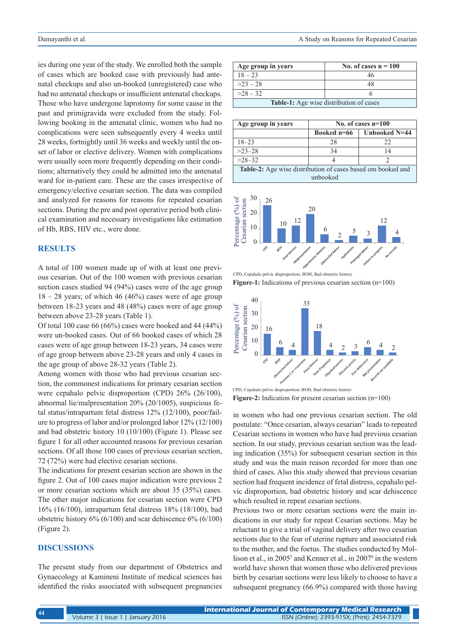ies during one year of the study. We enrolled both the sample of cases which are booked case with previously had antenatal checkups and also un-booked (unregistered) case who had no antenatal checkups or insufficient antenatal checkups. Those who have undergone laprotomy for some cause in the past and primigravida were excluded from the study. Following booking in the antenatal clinic, women who had no complications were seen subsequently every 4 weeks until 28 weeks, fortnightly until 36 weeks and weekly until the onset of labor or elective delivery. Women with complications were usually seen more frequently depending on their conditions; alternatively they could be admitted into the antenatal ward for in-patient care. These are the cases irrespective of emergency/elective cesarian section. The data was compiled and analyzed for reasons for reasons for repeated cesarian sections. During the pre and post operative period both clinical examination and necessary investigations like estimation of Hb, RBS, HIV etc., were done.

# **RESULTS**

A total of 100 women made up of with at least one previous cesarian. Out of the 100 women with previous cesarian section cases studied 94 (94%) cases were of the age group  $18 - 28$  years; of which 46 (46%) cases were of age group between 18-23 years and 48 (48%) cases were of age group between above 23-28 years (Table 1).

Of total 100 case 66 (66%) cases were booked and 44 (44%) were un-booked cases. Out of 66 booked cases of which 28 cases were of age group between 18-23 years, 34 cases were of age group between above 23-28 years and only 4 cases in the age group of above 28-32 years (Table 2).

Among women with those who had previous cesarian section, the commonest indications for primary cesarian section were cepahalo pelvic disproportion (CPD) 26% (26/100), abnormal lie/malpresentation 20% (20/1005), suspicious fetal status/intrapartum fetal distress 12% (12/100), poor/failure to progress of labor and/or prolonged labor 12% (12/100) and bad obstetric history 10 (10/100) (Figure 1). Please see figure 1 for all other accounted reasons for previous cesarian sections. Of all those 100 cases of previous cesarian section, 72 (72%) were had elective cesarian sections.

The indications for present cesarian section are shown in the figure 2. Out of 100 cases major indication were previous 2 or more cesarian sections which are about 35 (35%) cases. The other major indications for cesarian section were CPD 16% (16/100), intrapartum fetal distress 18% (18/100), bad obstetric history 6% (6/100) and scar dehiscence 6% (6/100) (Figure 2).

# **DISCUSSIONS**

The present study from our department of Obstetrics and Gynaecology at Kamineni Institute of medical sciences has identified the risks associated with subsequent pregnancies

| Age group in years                             | No. of cases $n = 100$ |  |
|------------------------------------------------|------------------------|--|
| $18 - 23$                                      | 46                     |  |
| $>23-28$                                       | 48                     |  |
| $>28-32$                                       |                        |  |
| <b>Table-1:</b> Age wise distribution of cases |                        |  |

| Age group in years                                                 | No. of cases $n=100$ |               |  |
|--------------------------------------------------------------------|----------------------|---------------|--|
|                                                                    | Booked n=66          | Unbooked N=44 |  |
| $18 - 23$                                                          | 28                   | 22            |  |
| $>23-28$                                                           | 34                   | 14            |  |
| $>28-32$                                                           |                      |               |  |
| <b>Table-2:</b> Age wise distribution of cases based om booked and |                      |               |  |
| unbooked                                                           |                      |               |  |



CPD, Cepahalo pelvic disproportion; BOH, Bad obstetric history **Figure-1:** Indications of previous cesarian section (n=100)



**Figure-2:** Indication for present cesarian section (n=100) CPD, Cepahalo pelvic disproportion; BOH, Bad obstetric history

in women who had one previous cesarian section. The old postulate: "Once cesarian, always cesarian" leads to repeated Cesarian sections in women who have had previous cesarian section. In our study, previous cesarian section was the leading indication (35%) for subsequent cesarian section in this study and was the main reason recorded for more than one third of cases. Also this study showed that previous cesarian section had frequent incidence of fetal distress, cepahalo pelvic disproportion, bad obstetric history and scar dehiscence which resulted in repeat cesarian sections.

Previous two or more cesarian sections were the main indications in our study for repeat Cesarian sections. May be reluctant to give a trial of vaginal delivery after two cesarian sections due to the fear of uterine rupture and associated risk to the mother, and the foetus. The studies conducted by Mollison et al., in 2005<sup>5</sup> and Kenner et al., in 2007<sup>6</sup> in the western world have shown that women those who delivered previous birth by cesarian sections were less likely to choose to have a subsequent pregnancy (66.9%) compared with those having